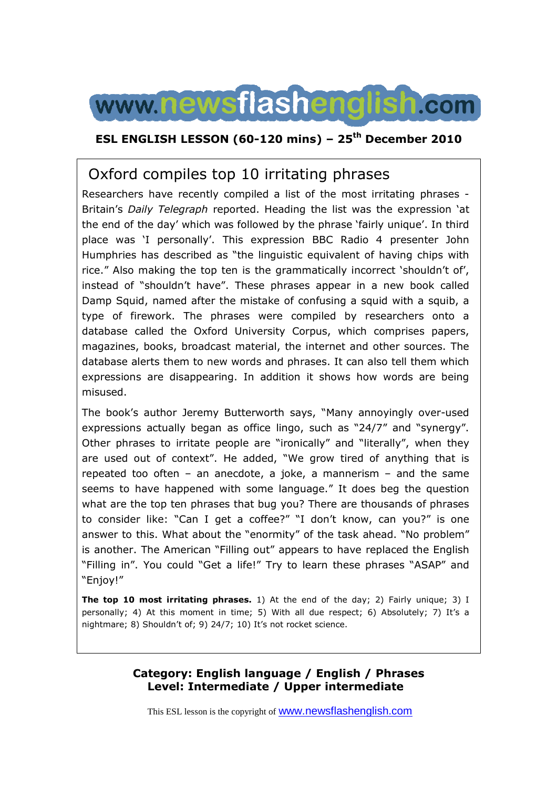

### **ESL ENGLISH LESSON (60-120 mins) – 25th December 2010**

# Oxford compiles top 10 irritating phrases

Researchers have recently compiled a list of the most irritating phrases - Britain's *Daily Telegraph* reported. Heading the list was the expression 'at the end of the day' which was followed by the phrase 'fairly unique'. In third place was 'I personally'. This expression BBC Radio 4 presenter John Humphries has described as "the linguistic equivalent of having chips with rice." Also making the top ten is the grammatically incorrect 'shouldn't of', instead of "shouldn't have". These phrases appear in a new book called Damp Squid, named after the mistake of confusing a squid with a squib, a type of firework. The phrases were compiled by researchers onto a database called the Oxford University Corpus, which comprises papers, magazines, books, broadcast material, the internet and other sources. The database alerts them to new words and phrases. It can also tell them which expressions are disappearing. In addition it shows how words are being misused.

The book's author Jeremy Butterworth says, "Many annoyingly over-used expressions actually began as office lingo, such as "24/7" and "synergy". Other phrases to irritate people are "ironically" and "literally", when they are used out of context". He added, "We grow tired of anything that is repeated too often – an anecdote, a joke, a mannerism – and the same seems to have happened with some language." It does beg the question what are the top ten phrases that bug you? There are thousands of phrases to consider like: "Can I get a coffee?" "I don't know, can you?" is one answer to this. What about the "enormity" of the task ahead. "No problem" is another. The American "Filling out" appears to have replaced the English "Filling in". You could "Get a life!" Try to learn these phrases "ASAP" and "Enjoy!"

**The top 10 most irritating phrases.** 1) At the end of the day; 2) Fairly unique; 3) I personally; 4) At this moment in time; 5) With all due respect; 6) Absolutely; 7) It's a nightmare; 8) Shouldn't of; 9) 24/7; 10) It's not rocket science.

#### **Category: English language / English / Phrases Level: Intermediate / Upper intermediate**

This ESL lesson is the copyright of www.newsflashenglish.com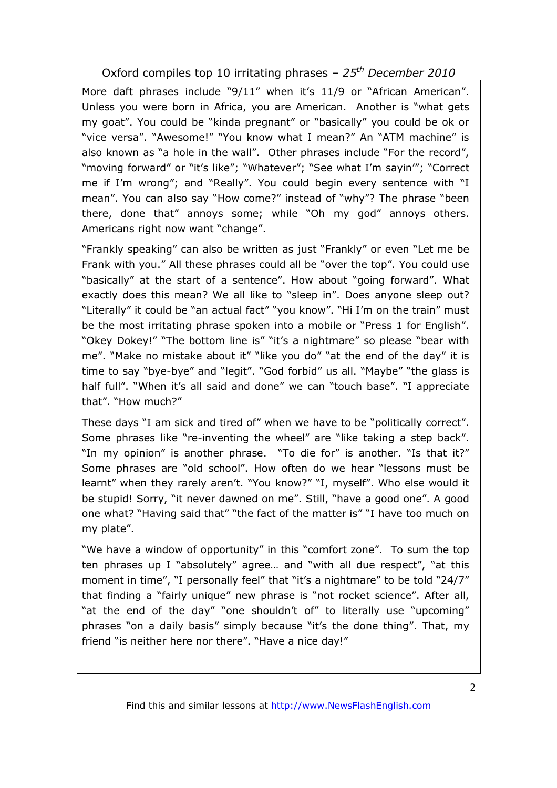Oxford compiles top 10 irritating phrases – *25th December 2010*

More daft phrases include "9/11" when it's 11/9 or "African American". Unless you were born in Africa, you are American. Another is "what gets my goat". You could be "kinda pregnant" or "basically" you could be ok or "vice versa". "Awesome!" "You know what I mean?" An "ATM machine" is also known as "a hole in the wall". Other phrases include "For the record", "moving forward" or "it's like"; "Whatever"; "See what I'm sayin'"; "Correct me if I'm wrong"; and "Really". You could begin every sentence with "I mean". You can also say "How come?" instead of "why"? The phrase "been there, done that" annoys some; while "Oh my god" annoys others. Americans right now want "change".

"Frankly speaking" can also be written as just "Frankly" or even "Let me be Frank with you." All these phrases could all be "over the top". You could use "basically" at the start of a sentence". How about "going forward". What exactly does this mean? We all like to "sleep in". Does anyone sleep out? "Literally" it could be "an actual fact" "you know". "Hi I'm on the train" must be the most irritating phrase spoken into a mobile or "Press 1 for English". "Okey Dokey!" "The bottom line is" "it's a nightmare" so please "bear with me". "Make no mistake about it" "like you do" "at the end of the day" it is time to say "bye-bye" and "legit". "God forbid" us all. "Maybe" "the glass is half full". "When it's all said and done" we can "touch base". "I appreciate that". "How much?"

These days "I am sick and tired of" when we have to be "politically correct". Some phrases like "re-inventing the wheel" are "like taking a step back". "In my opinion" is another phrase. "To die for" is another. "Is that it?" Some phrases are "old school". How often do we hear "lessons must be learnt" when they rarely aren't. "You know?" "I, myself". Who else would it be stupid! Sorry, "it never dawned on me". Still, "have a good one". A good one what? "Having said that" "the fact of the matter is" "I have too much on my plate".

"We have a window of opportunity" in this "comfort zone". To sum the top ten phrases up I "absolutely" agree… and "with all due respect", "at this moment in time", "I personally feel" that "it's a nightmare" to be told "24/7" that finding a "fairly unique" new phrase is "not rocket science". After all, "at the end of the day" "one shouldn't of" to literally use "upcoming" phrases "on a daily basis" simply because "it's the done thing". That, my friend "is neither here nor there". "Have a nice day!"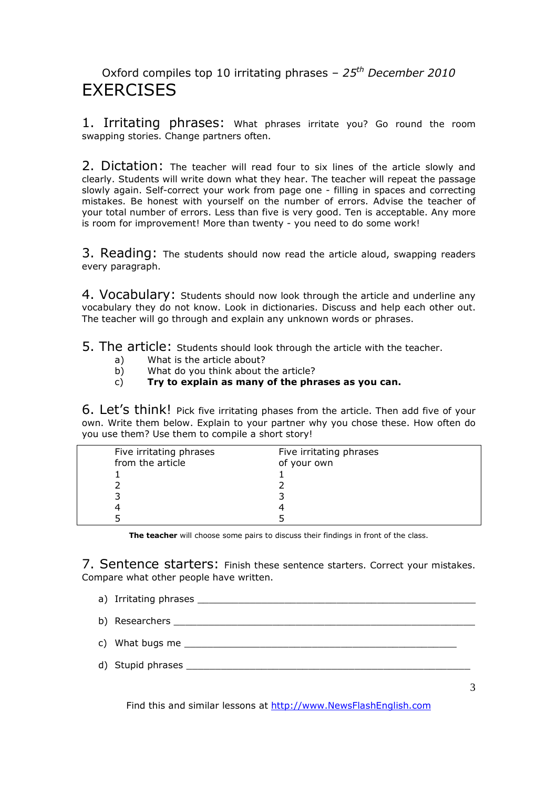### Oxford compiles top 10 irritating phrases – *25th December 2010* **FXFRCISES**

1. Irritating phrases: What phrases irritate you? Go round the room swapping stories. Change partners often.

2. Dictation: The teacher will read four to six lines of the article slowly and clearly. Students will write down what they hear. The teacher will repeat the passage slowly again. Self-correct your work from page one - filling in spaces and correcting mistakes. Be honest with yourself on the number of errors. Advise the teacher of your total number of errors. Less than five is very good. Ten is acceptable. Any more is room for improvement! More than twenty - you need to do some work!

3. Reading: The students should now read the article aloud, swapping readers every paragraph.

4. Vocabulary: Students should now look through the article and underline any vocabulary they do not know. Look in dictionaries. Discuss and help each other out. The teacher will go through and explain any unknown words or phrases.

5. The article: Students should look through the article with the teacher.

- a) What is the article about?
- b) What do you think about the article?

#### c) **Try to explain as many of the phrases as you can.**

6. Let's think! Pick five irritating phases from the article. Then add five of your own. Write them below. Explain to your partner why you chose these. How often do you use them? Use them to compile a short story!

| Five irritating phrases | Five irritating phrases |  |
|-------------------------|-------------------------|--|
| from the article        | of your own             |  |
|                         |                         |  |
|                         |                         |  |
|                         |                         |  |
|                         |                         |  |
|                         |                         |  |

**The teacher** will choose some pairs to discuss their findings in front of the class.

7. Sentence starters: Finish these sentence starters. Correct your mistakes. Compare what other people have written.

- a) Irritating phrases **and the set of the set of the set of the set of the set of the set of the set of the set o**
- b) Researchers  $\Box$
- c) What bugs me
- d) Stupid phrases \_\_\_\_\_\_\_\_\_\_\_\_\_\_\_\_\_\_\_\_\_\_\_\_\_\_\_\_\_\_\_\_\_\_\_\_\_\_\_\_\_\_\_\_\_\_\_\_\_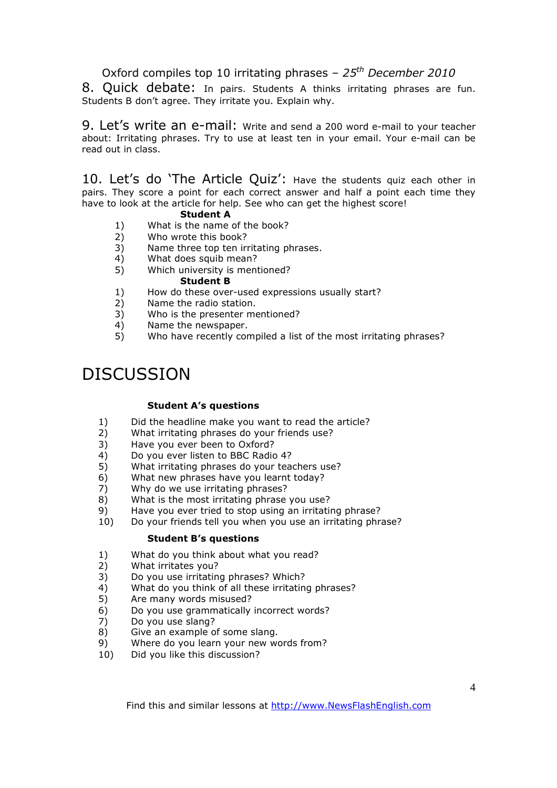Oxford compiles top 10 irritating phrases – *25th December 2010*

8. Quick debate: In pairs. Students A thinks irritating phrases are fun. Students B don't agree. They irritate you. Explain why.

9. Let's write an e-mail: Write and send a 200 word e-mail to your teacher about: Irritating phrases. Try to use at least ten in your email. Your e-mail can be read out in class.

10. Let's do 'The Article Quiz': Have the students quiz each other in pairs. They score a point for each correct answer and half a point each time they have to look at the article for help. See who can get the highest score!

#### **Student A**

- 1) What is the name of the book?
- 2) Who wrote this book?
- 3) Name three top ten irritating phrases.
- 4) What does squib mean?
- 5) Which university is mentioned?

#### **Student B**

- 1) How do these over-used expressions usually start?
- 2) Name the radio station.
- 3) Who is the presenter mentioned?
- 4) Name the newspaper.<br>5) Who have recently cor
- 5) Who have recently compiled a list of the most irritating phrases?

# **DISCUSSION**

#### **Student A's questions**

- 1) Did the headline make you want to read the article?
- 2) What irritating phrases do your friends use?
- 3) Have you ever been to Oxford?
- 
- 4) Do you ever listen to BBC Radio 4?<br>5) What irritating phrases do your tea 5) What irritating phrases do your teachers use?<br>6) What new phrases have you learnt today?
- What new phrases have you learnt today?
- 7) Why do we use irritating phrases?
- 8) What is the most irritating phrase you use?
- 
- 9) Have you ever tried to stop using an irritating phrase?<br>10) Do your friends tell you when you use an irritating phr. Do your friends tell you when you use an irritating phrase?

#### **Student B's questions**

- 1) What do you think about what you read?
- 2) What irritates you?
- 3) Do you use irritating phrases? Which?
- 4) What do you think of all these irritating phrases?
- 5) Are many words misused?
- 6) Do you use grammatically incorrect words?<br>7) Do you use slang?
- 7) Do you use slang?
- 8) Give an example of some slang.
- 9) Where do you learn your new words from?
- 10) Did you like this discussion?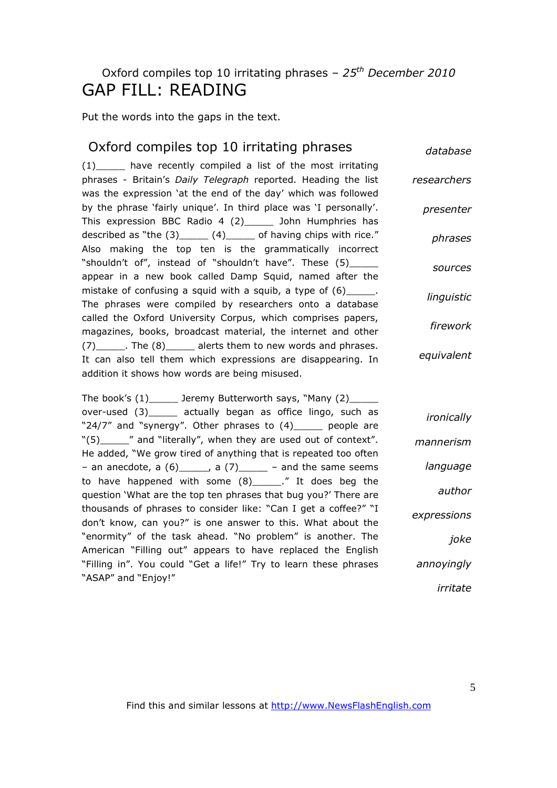# Oxford compiles top 10 irritating phrases – *25th December 2010* GAP FILL: READING

Put the words into the gaps in the text.

| Oxford compiles top 10 irritating phrases                                                                                                                                                   | database    |
|---------------------------------------------------------------------------------------------------------------------------------------------------------------------------------------------|-------------|
| (1) have recently compiled a list of the most irritating<br>phrases - Britain's Daily Telegraph reported. Heading the list<br>was the expression 'at the end of the day' which was followed | researchers |
| by the phrase 'fairly unique'. In third place was 'I personally'.<br>This expression BBC Radio 4 (2) ______ John Humphries has                                                              | presenter   |
| described as "the $(3)$ ______ $(4)$ ______ of having chips with rice."<br>Also making the top ten is the grammatically incorrect                                                           | phrases     |
| "shouldn't of", instead of "shouldn't have". These (5)______<br>appear in a new book called Damp Squid, named after the                                                                     | sources     |
| mistake of confusing a squid with a squib, a type of (6)______.<br>The phrases were compiled by researchers onto a database                                                                 | linguistic  |
| called the Oxford University Corpus, which comprises papers,<br>magazines, books, broadcast material, the internet and other                                                                | firework    |
| (7) ______. The (8) ______ alerts them to new words and phrases.<br>It can also tell them which expressions are disappearing. In<br>addition it shows how words are being misused.          | equivalent  |
| The book's (1) ______ Jeremy Butterworth says, "Many (2) _____                                                                                                                              |             |
| over-used (3) actually began as office lingo, such as<br>"24/7" and "synergy". Other phrases to (4) _____ people are                                                                        | ironically  |
| "(5) ______" and "literally", when they are used out of context".<br>He added, "We grow tired of anything that is repeated too often                                                        | mannerism   |
| - an anecdote, a $(6)$ _____, a $(7)$ _____ - and the same seems                                                                                                                            | language    |
| to have happened with some (8)______." It does beg the<br>question 'What are the top ten phrases that bug you?' There are                                                                   | author      |
| thousands of phrases to consider like: "Can I get a coffee?" "I<br>don't know, can you?" is one answer to this. What about the                                                              | expressions |
| "enormity" of the task ahead. "No problem" is another. The<br>American "Filling out" appears to have replaced the English                                                                   | joke        |
| "Filling in". You could "Get a life!" Try to learn these phrases                                                                                                                            | annoyingly  |
| "ASAP" and "Enjoy!"                                                                                                                                                                         | irritate    |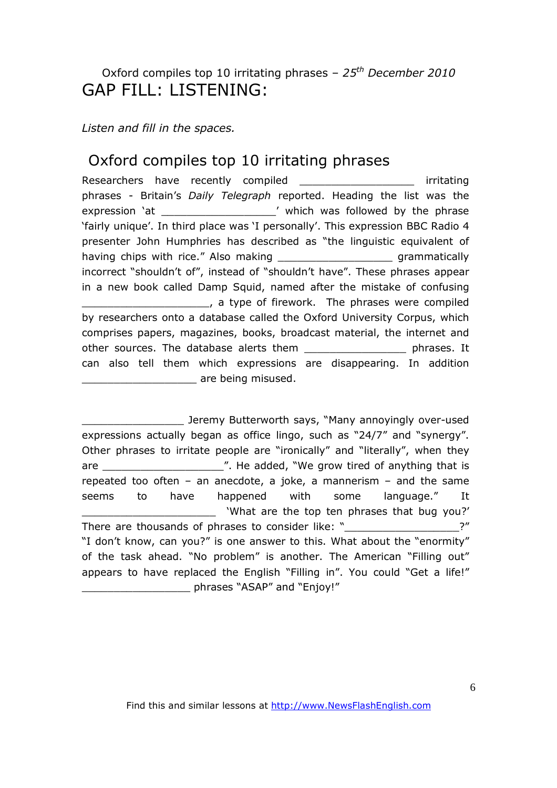### Oxford compiles top 10 irritating phrases – *25th December 2010* GAP FILL: LISTENING:

*Listen and fill in the spaces.* 

### Oxford compiles top 10 irritating phrases

Researchers have recently compiled \_\_\_\_\_\_\_\_\_\_\_ irritating phrases - Britain's *Daily Telegraph* reported. Heading the list was the expression 'at  $\blacksquare$  which was followed by the phrase 'fairly unique'. In third place was 'I personally'. This expression BBC Radio 4 presenter John Humphries has described as "the linguistic equivalent of having chips with rice." Also making **with the same of the contract of the same of the contract of the contract** incorrect "shouldn't of", instead of "shouldn't have". These phrases appear in a new book called Damp Squid, named after the mistake of confusing \_\_\_\_\_\_\_\_\_\_\_\_\_\_\_\_\_\_\_\_, a type of firework. The phrases were compiled by researchers onto a database called the Oxford University Corpus, which comprises papers, magazines, books, broadcast material, the internet and other sources. The database alerts them \_\_\_\_\_\_\_\_\_\_\_\_\_\_\_\_\_\_\_\_ phrases. It can also tell them which expressions are disappearing. In addition example are being misused.

\_\_\_\_\_\_\_\_\_\_\_\_\_\_\_\_ Jeremy Butterworth says, "Many annoyingly over-used expressions actually began as office lingo, such as "24/7" and "synergy". Other phrases to irritate people are "ironically" and "literally", when they are \_\_\_\_\_\_\_\_\_\_\_\_\_\_\_\_\_\_\_". He added, "We grow tired of anything that is repeated too often – an anecdote, a joke, a mannerism – and the same seems to have happened with some language." It \_\_\_\_\_\_\_\_\_\_\_\_\_\_\_\_\_\_\_\_\_ 'What are the top ten phrases that bug you?' There are thousands of phrases to consider like: " There are thousands of phrases to consider like: " "I don't know, can you?" is one answer to this. What about the "enormity" of the task ahead. "No problem" is another. The American "Filling out" appears to have replaced the English "Filling in". You could "Get a life!" \_\_\_\_\_\_\_\_\_\_\_\_\_\_\_\_\_ phrases "ASAP" and "Enjoy!"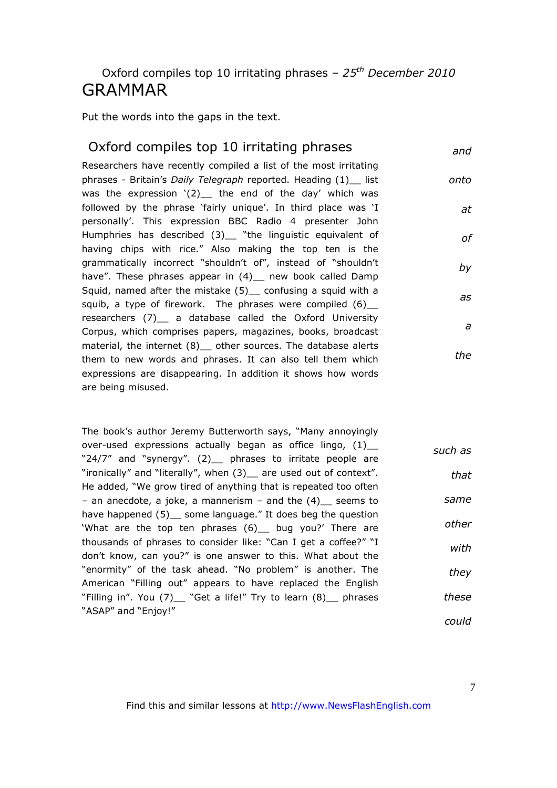### Oxford compiles top 10 irritating phrases – *25th December 2010* GRAMMAR

Put the words into the gaps in the text.

#### Oxford compiles top 10 irritating phrases

*and*

*onto*

*at*

*of*

*by*

*as*

*a*

*the*

Researchers have recently compiled a list of the most irritating phrases - Britain's *Daily Telegraph* reported. Heading (1)\_\_ list was the expression  $'(2)$  the end of the day' which was followed by the phrase 'fairly unique'. In third place was 'I personally'. This expression BBC Radio 4 presenter John Humphries has described (3)\_ "the linguistic equivalent of having chips with rice." Also making the top ten is the grammatically incorrect "shouldn't of", instead of "shouldn't have". These phrases appear in (4) \_ new book called Damp Squid, named after the mistake (5)\_\_ confusing a squid with a squib, a type of firework. The phrases were compiled  $(6)$ researchers (7) a database called the Oxford University Corpus, which comprises papers, magazines, books, broadcast material, the internet (8) other sources. The database alerts them to new words and phrases. It can also tell them which expressions are disappearing. In addition it shows how words are being misused.

The book's author Jeremy Butterworth says, "Many annoyingly over-used expressions actually began as office lingo,  $(1)$ "24/7" and "synergy". (2) phrases to irritate people are "ironically" and "literally", when (3)\_\_ are used out of context". He added, "We grow tired of anything that is repeated too often – an anecdote, a joke, a mannerism – and the  $(4)$  seems to have happened (5) some language." It does beg the question 'What are the top ten phrases (6)\_\_ bug you?' There are thousands of phrases to consider like: "Can I get a coffee?" "I don't know, can you?" is one answer to this. What about the "enormity" of the task ahead. "No problem" is another. The American "Filling out" appears to have replaced the English "Filling in". You (7)\_ "Get a life!" Try to learn (8)\_ phrases "ASAP" and "Enjoy!" *such as that same other with they these could*